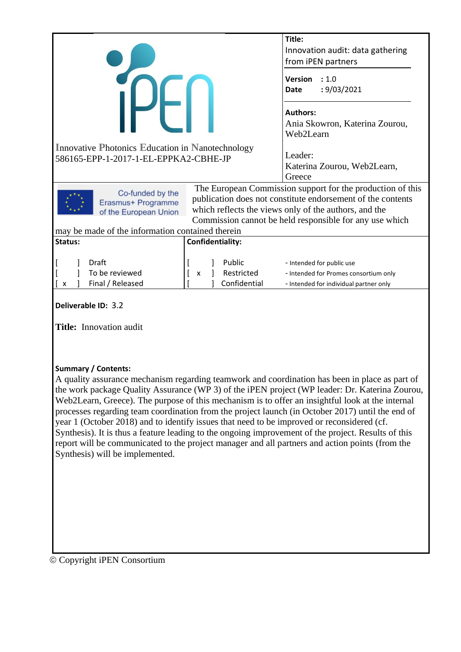|                                                                 |                                       | Title:                                                                                                                                                                                                                                        |  |
|-----------------------------------------------------------------|---------------------------------------|-----------------------------------------------------------------------------------------------------------------------------------------------------------------------------------------------------------------------------------------------|--|
|                                                                 |                                       | Innovation audit: data gathering                                                                                                                                                                                                              |  |
|                                                                 |                                       | from iPEN partners                                                                                                                                                                                                                            |  |
|                                                                 |                                       | <b>Version</b><br>: 1.0<br>: 9/03/2021<br><b>Date</b>                                                                                                                                                                                         |  |
|                                                                 |                                       | <b>Authors:</b><br>Ania Skowron, Katerina Zourou,<br>Web2Learn                                                                                                                                                                                |  |
| <b>Innovative Photonics Education in Nanotechnology</b>         |                                       | Leader:                                                                                                                                                                                                                                       |  |
|                                                                 | 586165-EPP-1-2017-1-EL-EPPKA2-CBHE-JP |                                                                                                                                                                                                                                               |  |
|                                                                 |                                       | Katerina Zourou, Web2Learn,                                                                                                                                                                                                                   |  |
|                                                                 |                                       | Greece                                                                                                                                                                                                                                        |  |
| Co-funded by the<br>Erasmus+ Programme<br>of the European Union |                                       | The European Commission support for the production of this<br>publication does not constitute endorsement of the contents<br>which reflects the views only of the authors, and the<br>Commission cannot be held responsible for any use which |  |
| may be made of the information contained therein                |                                       |                                                                                                                                                                                                                                               |  |
| Status:                                                         | Confidentiality:                      |                                                                                                                                                                                                                                               |  |
|                                                                 |                                       |                                                                                                                                                                                                                                               |  |
| Draft                                                           | Public                                | - Intended for public use                                                                                                                                                                                                                     |  |
| To be reviewed                                                  | Restricted<br>X                       | - Intended for Promes consortium only                                                                                                                                                                                                         |  |
| Final / Released<br>$\boldsymbol{\mathsf{x}}$                   | Confidential                          | - Intended for individual partner only                                                                                                                                                                                                        |  |
| Deliverable ID: 3.2                                             |                                       |                                                                                                                                                                                                                                               |  |

**Title:** Innovation audit

#### **Summary / Contents:**

A quality assurance mechanism regarding teamwork and coordination has been in place as part of the work package Quality Assurance (WP 3) of the iPEN project (WP leader: Dr. Katerina Zourou, Web2Learn, Greece). The purpose of this mechanism is to offer an insightful look at the internal processes regarding team coordination from the project launch (in October 2017) until the end of year 1 (October 2018) and to identify issues that need to be improved or reconsidered (cf. Synthesis). It is thus a feature leading to the ongoing improvement of the project. Results of this report will be communicated to the project manager and all partners and action points (from the Synthesis) will be implemented.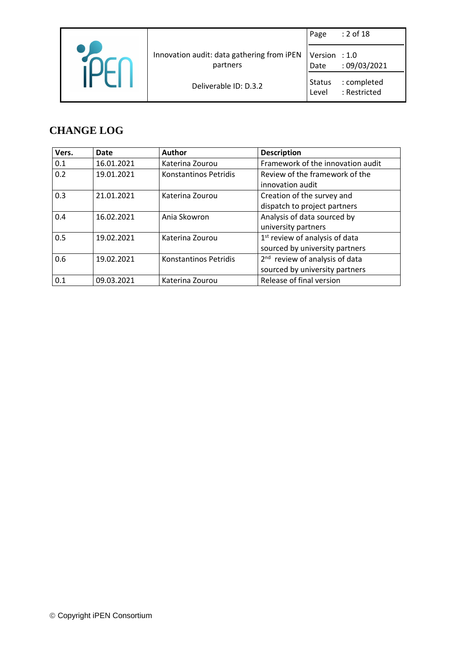|                                                        | Page                   | $: 2$ of 18                 |
|--------------------------------------------------------|------------------------|-----------------------------|
| Innovation audit: data gathering from iPEN<br>partners | Version : 1.0<br>Date  | :09/03/2021                 |
| Deliverable ID: D.3.2                                  | <b>Status</b><br>Level | : completed<br>: Restricted |

#### **CHANGE LOG**

| Vers. | <b>Date</b> | <b>Author</b>         | <b>Description</b>                         |  |
|-------|-------------|-----------------------|--------------------------------------------|--|
| 0.1   | 16.01.2021  | Katerina Zourou       | Framework of the innovation audit          |  |
| 0.2   | 19.01.2021  | Konstantinos Petridis | Review of the framework of the             |  |
|       |             |                       | innovation audit                           |  |
| 0.3   | 21.01.2021  | Katerina Zourou       | Creation of the survey and                 |  |
|       |             |                       | dispatch to project partners               |  |
| 0.4   | 16.02.2021  | Ania Skowron          | Analysis of data sourced by                |  |
|       |             |                       | university partners                        |  |
| 0.5   | 19.02.2021  | Katerina Zourou       | 1 <sup>st</sup> review of analysis of data |  |
|       |             |                       | sourced by university partners             |  |
| 0.6   | 19.02.2021  | Konstantinos Petridis | 2 <sup>nd</sup> review of analysis of data |  |
|       |             |                       | sourced by university partners             |  |
| 0.1   | 09.03.2021  | Katerina Zourou       | Release of final version                   |  |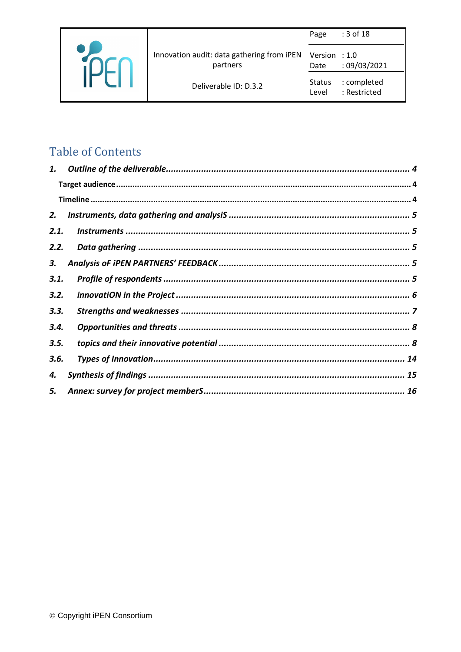|  |                                                        | Page                  | : 3 of 18                   |
|--|--------------------------------------------------------|-----------------------|-----------------------------|
|  | Innovation audit: data gathering from iPEN<br>partners | Version : 1.0<br>Date | :09/03/2021                 |
|  | Deliverable ID: D.3.2                                  | Status<br>Level       | : completed<br>: Restricted |

# **Table of Contents**

| 1.   |  |
|------|--|
|      |  |
|      |  |
| 2.   |  |
| 2.1. |  |
| 2.2. |  |
| 3.   |  |
| 3.1. |  |
| 3.2. |  |
| 3.3. |  |
| 3.4. |  |
| 3.5. |  |
| 3.6. |  |
| 4.   |  |
| 5.   |  |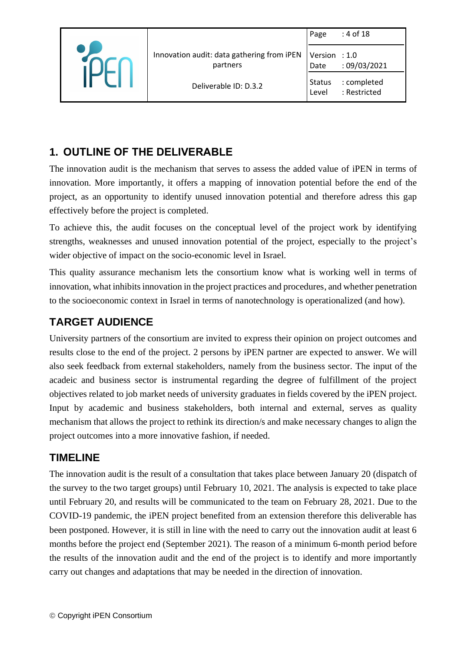|                                                        | Page                   | : 4 of 18                   |
|--------------------------------------------------------|------------------------|-----------------------------|
| Innovation audit: data gathering from iPEN<br>partners | Version : 1.0<br>Date  | : 09/03/2021                |
| Deliverable ID: D.3.2                                  | <b>Status</b><br>Level | : completed<br>: Restricted |

# <span id="page-3-0"></span>**1. OUTLINE OF THE DELIVERABLE**

The innovation audit is the mechanism that serves to assess the added value of iPEN in terms of innovation. More importantly, it offers a mapping of innovation potential before the end of the project, as an opportunity to identify unused innovation potential and therefore adress this gap effectively before the project is completed.

To achieve this, the audit focuses on the conceptual level of the project work by identifying strengths, weaknesses and unused innovation potential of the project, especially to the project's wider objective of impact on the socio-economic level in Israel.

This quality assurance mechanism lets the consortium know what is working well in terms of innovation, what inhibits innovation in the project practices and procedures, and whether penetration to the socioeconomic context in Israel in terms of nanotechnology is operationalized (and how).

# <span id="page-3-1"></span>**TARGET AUDIENCE**

University partners of the consortium are invited to express their opinion on project outcomes and results close to the end of the project. 2 persons by iPEN partner are expected to answer. We will also seek feedback from external stakeholders, namely from the business sector. The input of the acadeic and business sector is instrumental regarding the degree of fulfillment of the project objectives related to job market needs of university graduates in fields covered by the iPEN project. Input by academic and business stakeholders, both internal and external, serves as quality mechanism that allows the project to rethink its direction/s and make necessary changes to align the project outcomes into a more innovative fashion, if needed.

#### <span id="page-3-2"></span>**TIMELINE**

The innovation audit is the result of a consultation that takes place between January 20 (dispatch of the survey to the two target groups) until February 10, 2021. The analysis is expected to take place until February 20, and results will be communicated to the team on February 28, 2021. Due to the COVID-19 pandemic, the iPEN project benefited from an extension therefore this deliverable has been postponed. However, it is still in line with the need to carry out the innovation audit at least 6 months before the project end (September 2021). The reason of a minimum 6-month period before the results of the innovation audit and the end of the project is to identify and more importantly carry out changes and adaptations that may be needed in the direction of innovation.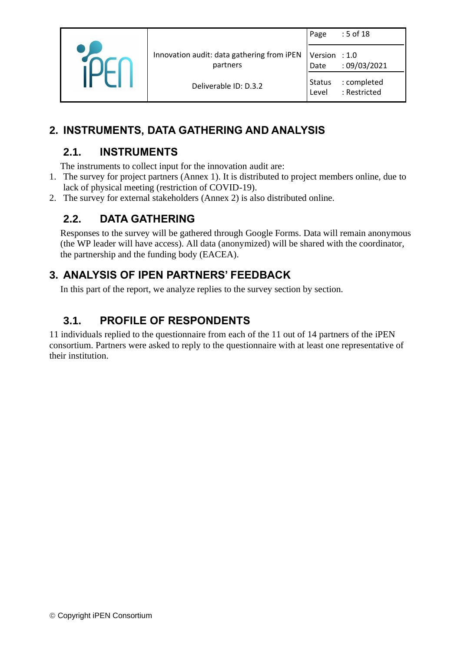|  |                                                        | Page                   | : 5 of 18                   |
|--|--------------------------------------------------------|------------------------|-----------------------------|
|  | Innovation audit: data gathering from iPEN<br>partners | Version : 1.0<br>Date  | :09/03/2021                 |
|  | Deliverable ID: D.3.2                                  | <b>Status</b><br>Level | : completed<br>: Restricted |

# <span id="page-4-1"></span><span id="page-4-0"></span>**2. INSTRUMENTS, DATA GATHERING AND ANALYSIS**

## **2.1. INSTRUMENTS**

The instruments to collect input for the innovation audit are:

- 1. The survey for project partners (Annex 1). It is distributed to project members online, due to lack of physical meeting (restriction of COVID-19).
- <span id="page-4-2"></span>2. The survey for external stakeholders (Annex 2) is also distributed online.

#### **2.2. DATA GATHERING**

Responses to the survey will be gathered through Google Forms. Data will remain anonymous (the WP leader will have access). All data (anonymized) will be shared with the coordinator, the partnership and the funding body (EACEA).

#### <span id="page-4-3"></span>**3. ANALYSIS OF IPEN PARTNERS' FEEDBACK**

In this part of the report, we analyze replies to the survey section by section.

### <span id="page-4-4"></span>**3.1. PROFILE OF RESPONDENTS**

11 individuals replied to the questionnaire from each of the 11 out of 14 partners of the iPEN consortium. Partners were asked to reply to the questionnaire with at least one representative of their institution.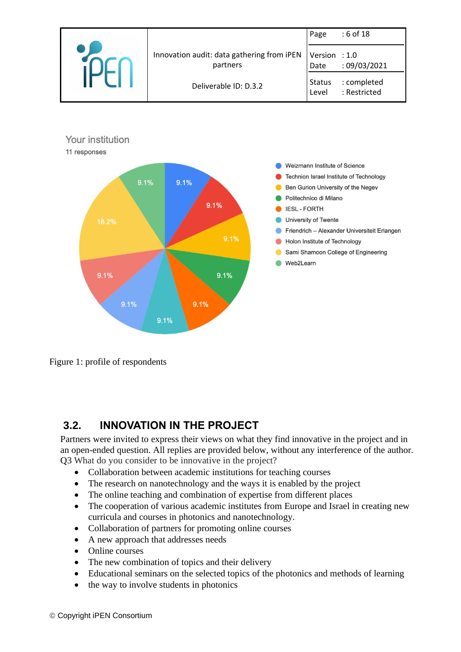



Figure 1: profile of respondents

#### <span id="page-5-0"></span>**3.2. INNOVATION IN THE PROJECT**

Partners were invited to express their views on what they find innovative in the project and in an open-ended question. All replies are provided below, without any interference of the author. Q3 What do you consider to be innovative in the project?

- Collaboration between academic institutions for teaching courses
- The research on nanotechnology and the ways it is enabled by the project
- The online teaching and combination of expertise from different places
- The cooperation of various academic institutes from Europe and Israel in creating new curricula and courses in photonics and nanotechnology.
- Collaboration of partners for promoting online courses
- A new approach that addresses needs
- Online courses
- The new combination of topics and their delivery
- Educational seminars on the selected topics of the photonics and methods of learning
- the way to involve students in photonics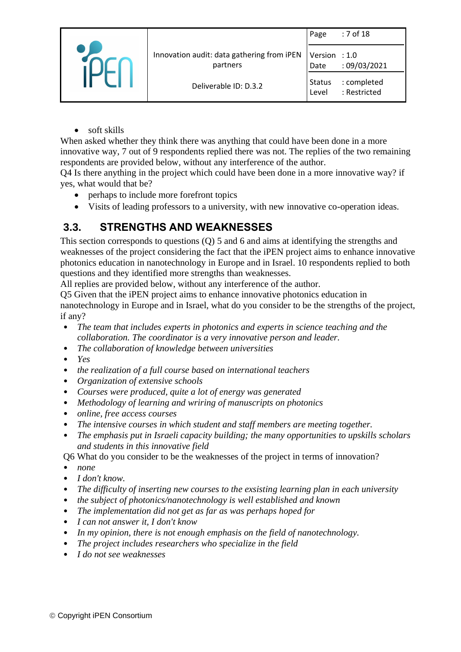|  |                                                        | Page                   | : 7 of 18                   |
|--|--------------------------------------------------------|------------------------|-----------------------------|
|  | Innovation audit: data gathering from iPEN<br>partners | Version : 1.0<br>Date  | :09/03/2021                 |
|  | Deliverable ID: D.3.2                                  | <b>Status</b><br>Level | : completed<br>: Restricted |

• soft skills

When asked whether they think there was anything that could have been done in a more innovative way, 7 out of 9 respondents replied there was not. The replies of the two remaining respondents are provided below, without any interference of the author.

Q4 Is there anything in the project which could have been done in a more innovative way? if yes, what would that be?

- perhaps to include more forefront topics
- Visits of leading professors to a university, with new innovative co-operation ideas.

### <span id="page-6-0"></span>**3.3. STRENGTHS AND WEAKNESSES**

This section corresponds to questions (Q) 5 and 6 and aims at identifying the strengths and weaknesses of the project considering the fact that the iPEN project aims to enhance innovative photonics education in nanotechnology in Europe and in Israel. 10 respondents replied to both questions and they identified more strengths than weaknesses.

All replies are provided below, without any interference of the author.

Q5 Given that the iPEN project aims to enhance innovative photonics education in

nanotechnology in Europe and in Israel, what do you consider to be the strengths of the project, if any?

- *The team that includes experts in photonics and experts in science teaching and the collaboration. The coordinator is a very innovative person and leader.*
- *The collaboration of knowledge between universities*
- *Yes*
- *the realization of a full course based on international teachers*
- *Organization of extensive schools*
- *Courses were produced, quite a lot of energy was generated*
- *Methodology of learning and wriring of manuscripts on photonics*
- *online, free access courses*
- *The intensive courses in which student and staff members are meeting together.*
- *The emphasis put in Israeli capacity building; the many opportunities to upskills scholars and students in this innovative field*

Q6 What do you consider to be the weaknesses of the project in terms of innovation?

- *none*
- *I don't know.*
- *The difficulty of inserting new courses to the exsisting learning plan in each university*
- *the subject of photonics/nanotechnology is well established and known*
- *The implementation did not get as far as was perhaps hoped for*
- *I can not answer it, I don't know*
- *In my opinion, there is not enough emphasis on the field of nanotechnology.*
- *The project includes researchers who specialize in the field*
- *I do not see weaknesses*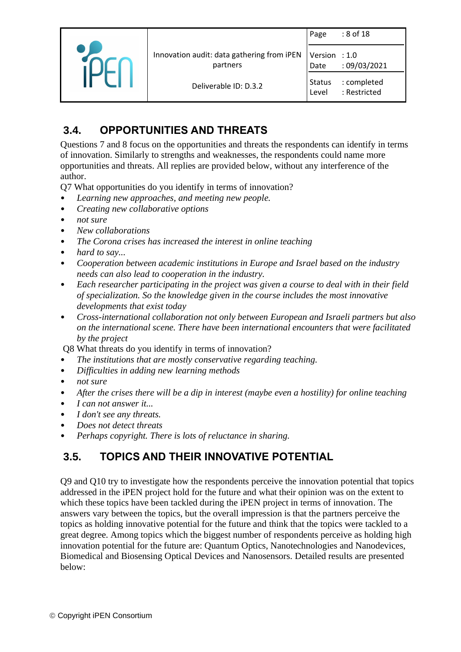|                                                        | Page                  | : 8 of 18                   |
|--------------------------------------------------------|-----------------------|-----------------------------|
| Innovation audit: data gathering from iPEN<br>partners | Version : 1.0<br>Date | :09/03/2021                 |
| Deliverable ID: D.3.2                                  | Status<br>Level       | : completed<br>: Restricted |

# <span id="page-7-0"></span>**3.4. OPPORTUNITIES AND THREATS**

Questions 7 and 8 focus on the opportunities and threats the respondents can identify in terms of innovation. Similarly to strengths and weaknesses, the respondents could name more opportunities and threats. All replies are provided below, without any interference of the author.

Q7 What opportunities do you identify in terms of innovation?

- *Learning new approaches, and meeting new people.*
- *Creating new collaborative options*
- *not sure*
- *New collaborations*
- *The Corona crises has increased the interest in online teaching*
- *hard to say...*
- *Cooperation between academic institutions in Europe and Israel based on the industry needs can also lead to cooperation in the industry.*
- *Each researcher participating in the project was given a course to deal with in their field of specialization. So the knowledge given in the course includes the most innovative developments that exist today*
- *Cross-international collaboration not only between European and Israeli partners but also on the international scene. There have been international encounters that were facilitated by the project*

Q8 What threats do you identify in terms of innovation?

- *The institutions that are mostly conservative regarding teaching.*
- *Difficulties in adding new learning methods*
- *not sure*
- *After the crises there will be a dip in interest (maybe even a hostility) for online teaching*
- *I can not answer it...*
- *I don't see any threats.*
- *Does not detect threats*
- *Perhaps copyright. There is lots of reluctance in sharing.*

#### <span id="page-7-1"></span>**3.5. TOPICS AND THEIR INNOVATIVE POTENTIAL**

Q9 and Q10 try to investigate how the respondents perceive the innovation potential that topics addressed in the iPEN project hold for the future and what their opinion was on the extent to which these topics have been tackled during the iPEN project in terms of innovation. The answers vary between the topics, but the overall impression is that the partners perceive the topics as holding innovative potential for the future and think that the topics were tackled to a great degree. Among topics which the biggest number of respondents perceive as holding high innovation potential for the future are: Quantum Optics, Nanotechnologies and Nanodevices, Biomedical and Biosensing Optical Devices and Nanosensors. Detailed results are presented below: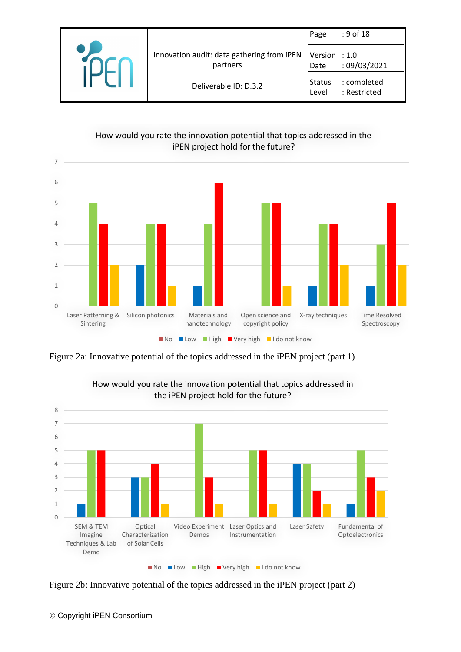|  |                                                        | Page                   | $: 9$ of 18                 |
|--|--------------------------------------------------------|------------------------|-----------------------------|
|  | Innovation audit: data gathering from iPEN<br>partners | Version : 1.0<br>Date  | :09/03/2021                 |
|  | Deliverable ID: D.3.2                                  | <b>Status</b><br>Level | : completed<br>: Restricted |





Figure 2a: Innovative potential of the topics addressed in the iPEN project (part 1)



How would you rate the innovation potential that topics addressed in the iPEN project hold for the future?

Figure 2b: Innovative potential of the topics addressed in the iPEN project (part 2)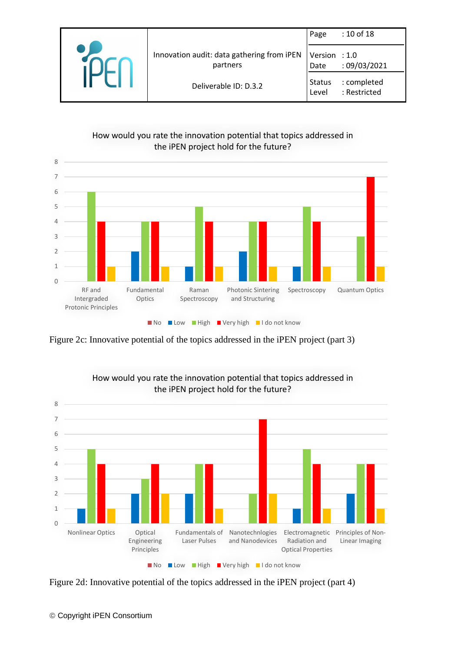|                                                        | Page                   | : 10 of 18                  |
|--------------------------------------------------------|------------------------|-----------------------------|
| Innovation audit: data gathering from iPEN<br>partners | Version : 1.0<br>Date  | :09/03/2021                 |
| Deliverable ID: D.3.2                                  | <b>Status</b><br>Level | : completed<br>: Restricted |

#### How would you rate the innovation potential that topics addressed in the iPEN project hold for the future?



Figure 2c: Innovative potential of the topics addressed in the iPEN project (part 3)



How would you rate the innovation potential that topics addressed in

Figure 2d: Innovative potential of the topics addressed in the iPEN project (part 4)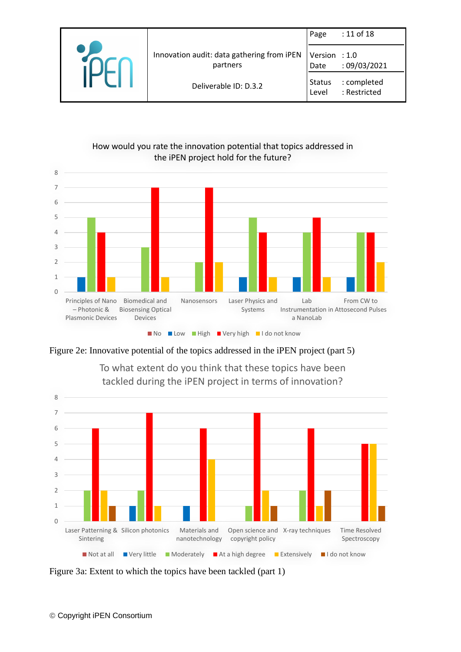|  |                                                        | Page                   | : 11 of 18                  |
|--|--------------------------------------------------------|------------------------|-----------------------------|
|  | Innovation audit: data gathering from iPEN<br>partners | Version : 1.0<br>Date  | :09/03/2021                 |
|  | Deliverable ID: D.3.2                                  | <b>Status</b><br>Level | : completed<br>: Restricted |





Figure 2e: Innovative potential of the topics addressed in the iPEN project (part 5)



To what extent do you think that these topics have been tackled during the iPEN project in terms of innovation?

Figure 3a: Extent to which the topics have been tackled (part 1)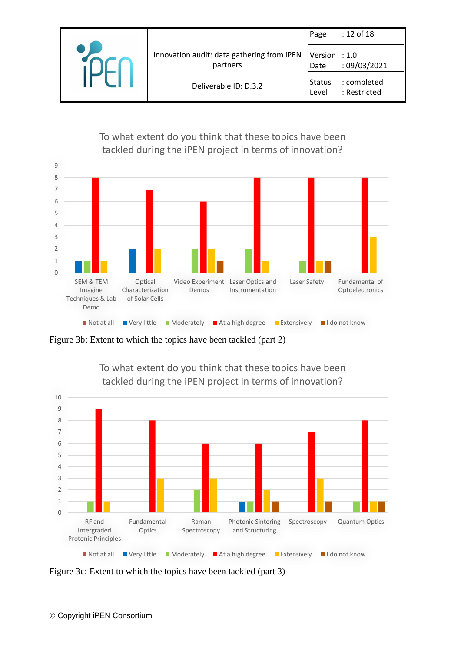|                                                        | Page                   | : 12 of 18                  |
|--------------------------------------------------------|------------------------|-----------------------------|
| Innovation audit: data gathering from iPEN<br>partners | Version : 1.0<br>Date  | :09/03/2021                 |
| Deliverable ID: D.3.2                                  | <b>Status</b><br>Level | : completed<br>: Restricted |

To what extent do you think that these topics have been tackled during the iPEN project in terms of innovation?



Figure 3b: Extent to which the topics have been tackled (part 2)



To what extent do you think that these topics have been

Figure 3c: Extent to which the topics have been tackled (part 3)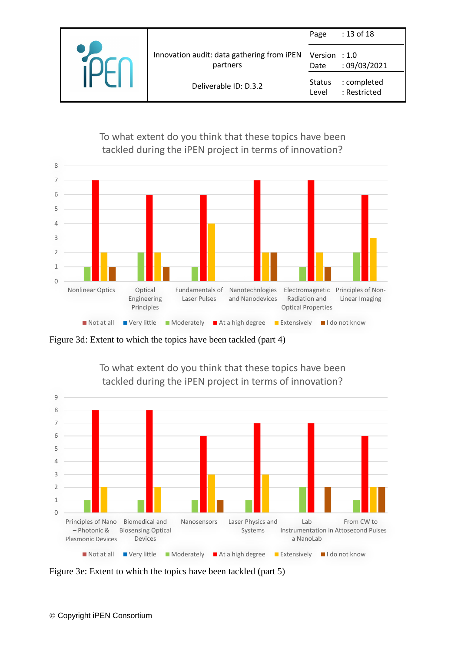|                                                        | Page                   | : 13 of 18                  |
|--------------------------------------------------------|------------------------|-----------------------------|
| Innovation audit: data gathering from iPEN<br>partners | Version : 1.0<br>Date  | :09/03/2021                 |
| Deliverable ID: D.3.2                                  | <b>Status</b><br>Level | : completed<br>: Restricted |

To what extent do you think that these topics have been tackled during the iPEN project in terms of innovation?



Figure 3d: Extent to which the topics have been tackled (part 4)



To what extent do you think that these topics have been

Figure 3e: Extent to which the topics have been tackled (part 5)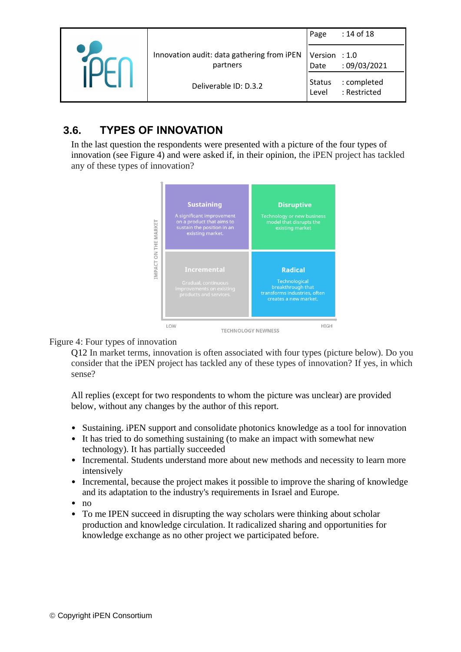|                                                        | Page                   | : 14 of 18                  |
|--------------------------------------------------------|------------------------|-----------------------------|
| Innovation audit: data gathering from iPEN<br>partners | Version : 1.0<br>Date  | :09/03/2021                 |
| Deliverable ID: D.3.2                                  | <b>Status</b><br>Level | : completed<br>: Restricted |

### <span id="page-13-0"></span>**3.6. TYPES OF INNOVATION**

In the last question the respondents were presented with a picture of the four types of innovation (see Figure 4) and were asked if, in their opinion, the iPEN project has tackled any of these types of innovation?



#### Figure 4: Four types of innovation

Q12 In market terms, innovation is often associated with four types (picture below). Do you consider that the iPEN project has tackled any of these types of innovation? If yes, in which sense?

All replies (except for two respondents to whom the picture was unclear) are provided below, without any changes by the author of this report.

- Sustaining. iPEN support and consolidate photonics knowledge as a tool for innovation
- It has tried to do something sustaining (to make an impact with somewhat new technology). It has partially succeeded
- Incremental. Students understand more about new methods and necessity to learn more intensively
- Incremental, because the project makes it possible to improve the sharing of knowledge and its adaptation to the industry's requirements in Israel and Europe.
- no
- To me IPEN succeed in disrupting the way scholars were thinking about scholar production and knowledge circulation. It radicalized sharing and opportunities for knowledge exchange as no other project we participated before.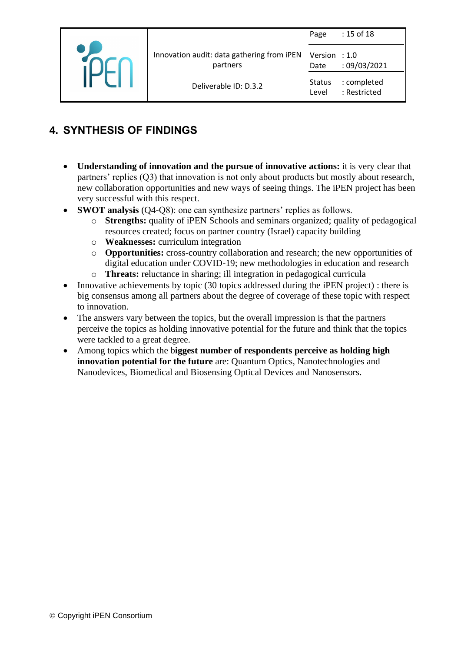|  |                                                        | Page                  | : 15 of 18                  |
|--|--------------------------------------------------------|-----------------------|-----------------------------|
|  | Innovation audit: data gathering from iPEN<br>partners | Version : 1.0<br>Date | :09/03/2021                 |
|  | Deliverable ID: D.3.2                                  | Status<br>Level       | : completed<br>: Restricted |

# <span id="page-14-0"></span>**4. SYNTHESIS OF FINDINGS**

- **Understanding of innovation and the pursue of innovative actions:** it is very clear that partners' replies (Q3) that innovation is not only about products but mostly about research, new collaboration opportunities and new ways of seeing things. The iPEN project has been very successful with this respect.
- **SWOT analysis** (Q4-Q8): one can synthesize partners' replies as follows.
	- o **Strengths:** quality of iPEN Schools and seminars organized; quality of pedagogical resources created; focus on partner country (Israel) capacity building
	- o **Weaknesses:** curriculum integration
	- o **Opportunities:** cross-country collaboration and research; the new opportunities of digital education under COVID-19; new methodologies in education and research
	- o **Threats:** reluctance in sharing; ill integration in pedagogical curricula
- Innovative achievements by topic (30 topics addressed during the iPEN project) : there is big consensus among all partners about the degree of coverage of these topic with respect to innovation.
- The answers vary between the topics, but the overall impression is that the partners perceive the topics as holding innovative potential for the future and think that the topics were tackled to a great degree.
- Among topics which the b**iggest number of respondents perceive as holding high innovation potential for the future** are: Quantum Optics, Nanotechnologies and Nanodevices, Biomedical and Biosensing Optical Devices and Nanosensors.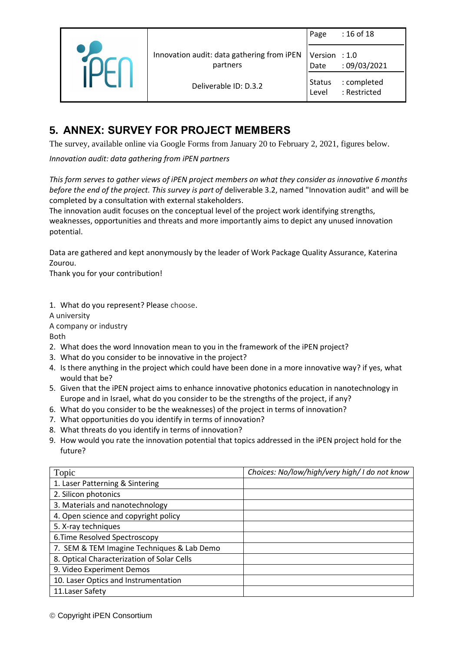|  |                                                        | Page                   | : 16 of 18                  |
|--|--------------------------------------------------------|------------------------|-----------------------------|
|  | Innovation audit: data gathering from iPEN<br>partners | Version : 1.0<br>Date  | :09/03/2021                 |
|  | Deliverable ID: D.3.2                                  | <b>Status</b><br>Level | : completed<br>: Restricted |

### <span id="page-15-0"></span>**5. ANNEX: SURVEY FOR PROJECT MEMBERS**

The survey, available online via Google Forms from January 20 to February 2, 2021, figures below.

*Innovation audit: data gathering from iPEN partners*

*This form serves to gather views of iPEN project members on what they consider as innovative 6 months before the end of the project. This survey is part of* deliverable 3.2, named "Innovation audit" and will be completed by a consultation with external stakeholders.

The innovation audit focuses on the conceptual level of the project work identifying strengths, weaknesses, opportunities and threats and more importantly aims to depict any unused innovation potential.

Data are gathered and kept anonymously by the leader of Work Package Quality Assurance, Katerina Zourou.

Thank you for your contribution!

1. What do you represent? Please choose.

A university

A company or industry

Both

- 2. What does the word Innovation mean to you in the framework of the iPEN project?
- 3. What do you consider to be innovative in the project?
- 4. Is there anything in the project which could have been done in a more innovative way? if yes, what would that be?
- 5. Given that the iPEN project aims to enhance innovative photonics education in nanotechnology in Europe and in Israel, what do you consider to be the strengths of the project, if any?
- 6. What do you consider to be the weaknesses) of the project in terms of innovation?
- 7. What opportunities do you identify in terms of innovation?
- 8. What threats do you identify in terms of innovation?
- 9. How would you rate the innovation potential that topics addressed in the iPEN project hold for the future?

| Topic                                      | Choices: No/low/high/very high/ I do not know |
|--------------------------------------------|-----------------------------------------------|
| 1. Laser Patterning & Sintering            |                                               |
| 2. Silicon photonics                       |                                               |
| 3. Materials and nanotechnology            |                                               |
| 4. Open science and copyright policy       |                                               |
| 5. X-ray techniques                        |                                               |
| 6. Time Resolved Spectroscopy              |                                               |
| 7. SEM & TEM Imagine Techniques & Lab Demo |                                               |
| 8. Optical Characterization of Solar Cells |                                               |
| 9. Video Experiment Demos                  |                                               |
| 10. Laser Optics and Instrumentation       |                                               |
| 11. Laser Safety                           |                                               |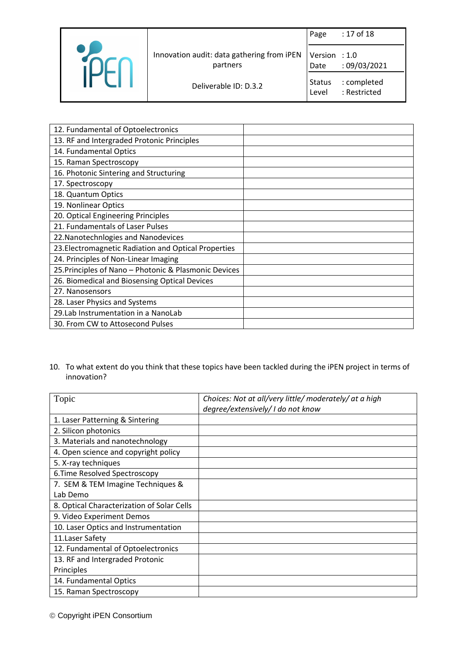|                                                        | Page                   | : 17 of 18                  |
|--------------------------------------------------------|------------------------|-----------------------------|
| Innovation audit: data gathering from iPEN<br>partners | Version : 1.0<br>Date  | :09/03/2021                 |
| Deliverable ID: D.3.2                                  | <b>Status</b><br>Level | : completed<br>: Restricted |

| 12. Fundamental of Optoelectronics                    |  |
|-------------------------------------------------------|--|
| 13. RF and Intergraded Protonic Principles            |  |
| 14. Fundamental Optics                                |  |
| 15. Raman Spectroscopy                                |  |
| 16. Photonic Sintering and Structuring                |  |
| 17. Spectroscopy                                      |  |
| 18. Quantum Optics                                    |  |
| 19. Nonlinear Optics                                  |  |
| 20. Optical Engineering Principles                    |  |
| 21. Fundamentals of Laser Pulses                      |  |
| 22. Nanotechnlogies and Nanodevices                   |  |
| 23. Electromagnetic Radiation and Optical Properties  |  |
| 24. Principles of Non-Linear Imaging                  |  |
| 25. Principles of Nano - Photonic & Plasmonic Devices |  |
| 26. Biomedical and Biosensing Optical Devices         |  |
| 27. Nanosensors                                       |  |
| 28. Laser Physics and Systems                         |  |
| 29.Lab Instrumentation in a NanoLab                   |  |
| 30. From CW to Attosecond Pulses                      |  |

#### 10. To what extent do you think that these topics have been tackled during the iPEN project in terms of innovation?

| Topic                                      | Choices: Not at all/very little/ moderately/ at a high<br>degree/extensively/ I do not know |
|--------------------------------------------|---------------------------------------------------------------------------------------------|
| 1. Laser Patterning & Sintering            |                                                                                             |
| 2. Silicon photonics                       |                                                                                             |
| 3. Materials and nanotechnology            |                                                                                             |
| 4. Open science and copyright policy       |                                                                                             |
| 5. X-ray techniques                        |                                                                                             |
| 6. Time Resolved Spectroscopy              |                                                                                             |
| 7. SEM & TEM Imagine Techniques &          |                                                                                             |
| Lab Demo                                   |                                                                                             |
| 8. Optical Characterization of Solar Cells |                                                                                             |
| 9. Video Experiment Demos                  |                                                                                             |
| 10. Laser Optics and Instrumentation       |                                                                                             |
| 11. Laser Safety                           |                                                                                             |
| 12. Fundamental of Optoelectronics         |                                                                                             |
| 13. RF and Intergraded Protonic            |                                                                                             |
| Principles                                 |                                                                                             |
| 14. Fundamental Optics                     |                                                                                             |
| 15. Raman Spectroscopy                     |                                                                                             |